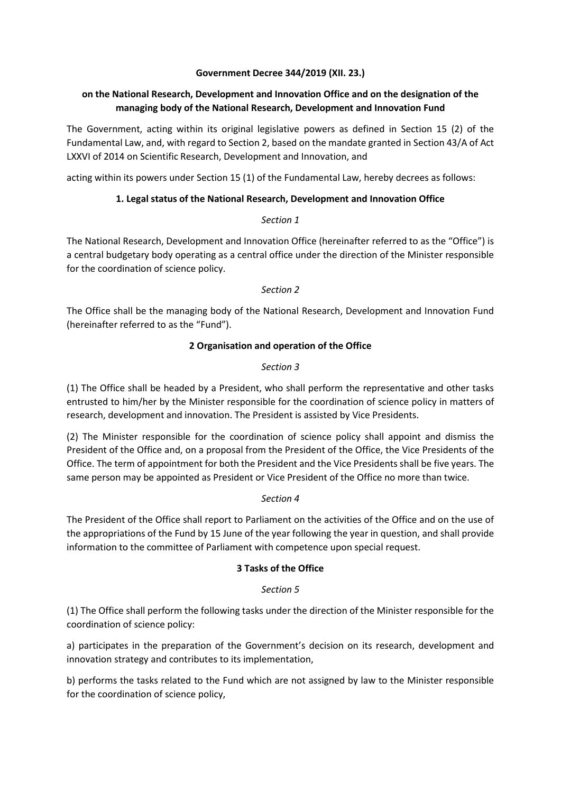#### **Government Decree 344/2019 (XII. 23.)**

# **on the National Research, Development and Innovation Office and on the designation of the managing body of the National Research, Development and Innovation Fund**

The Government, acting within its original legislative powers as defined in Section 15 (2) of the Fundamental Law, and, with regard to Section 2, based on the mandate granted in Section 43/A of Act LXXVI of 2014 on Scientific Research, Development and Innovation, and

acting within its powers under Section 15 (1) of the Fundamental Law, hereby decrees as follows:

### **1. Legal status of the National Research, Development and Innovation Office**

### *Section 1*

The National Research, Development and Innovation Office (hereinafter referred to as the "Office") is a central budgetary body operating as a central office under the direction of the Minister responsible for the coordination of science policy.

### *Section 2*

The Office shall be the managing body of the National Research, Development and Innovation Fund (hereinafter referred to as the "Fund").

# **2 Organisation and operation of the Office**

# *Section 3*

(1) The Office shall be headed by a President, who shall perform the representative and other tasks entrusted to him/her by the Minister responsible for the coordination of science policy in matters of research, development and innovation. The President is assisted by Vice Presidents.

(2) The Minister responsible for the coordination of science policy shall appoint and dismiss the President of the Office and, on a proposal from the President of the Office, the Vice Presidents of the Office. The term of appointment for both the President and the Vice Presidents shall be five years. The same person may be appointed as President or Vice President of the Office no more than twice.

### *Section 4*

The President of the Office shall report to Parliament on the activities of the Office and on the use of the appropriations of the Fund by 15 June of the year following the year in question, and shall provide information to the committee of Parliament with competence upon special request.

### **3 Tasks of the Office**

### *Section 5*

(1) The Office shall perform the following tasks under the direction of the Minister responsible for the coordination of science policy:

a) participates in the preparation of the Government's decision on its research, development and innovation strategy and contributes to its implementation,

b) performs the tasks related to the Fund which are not assigned by law to the Minister responsible for the coordination of science policy,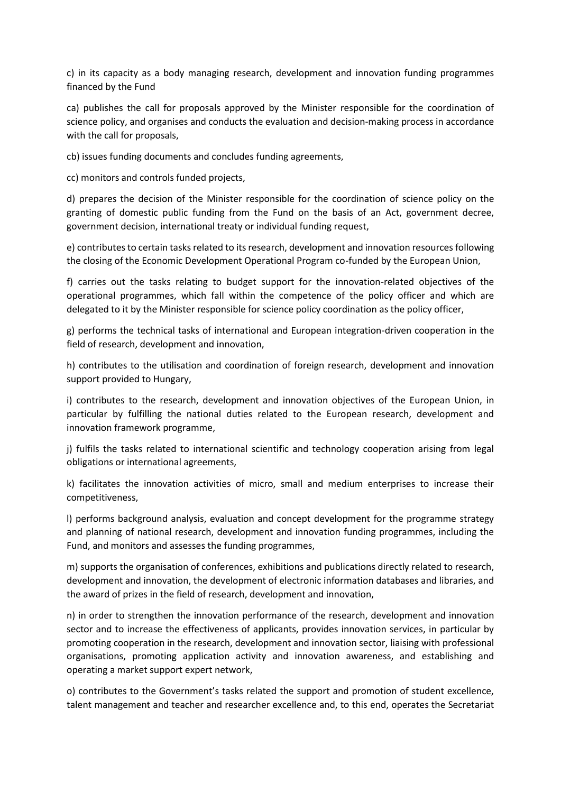c) in its capacity as a body managing research, development and innovation funding programmes financed by the Fund

ca) publishes the call for proposals approved by the Minister responsible for the coordination of science policy, and organises and conducts the evaluation and decision-making process in accordance with the call for proposals,

cb) issues funding documents and concludes funding agreements,

cc) monitors and controls funded projects,

d) prepares the decision of the Minister responsible for the coordination of science policy on the granting of domestic public funding from the Fund on the basis of an Act, government decree, government decision, international treaty or individual funding request,

e) contributes to certain tasks related to its research, development and innovation resources following the closing of the Economic Development Operational Program co-funded by the European Union,

f) carries out the tasks relating to budget support for the innovation-related objectives of the operational programmes, which fall within the competence of the policy officer and which are delegated to it by the Minister responsible for science policy coordination as the policy officer,

g) performs the technical tasks of international and European integration-driven cooperation in the field of research, development and innovation,

h) contributes to the utilisation and coordination of foreign research, development and innovation support provided to Hungary,

i) contributes to the research, development and innovation objectives of the European Union, in particular by fulfilling the national duties related to the European research, development and innovation framework programme,

j) fulfils the tasks related to international scientific and technology cooperation arising from legal obligations or international agreements,

k) facilitates the innovation activities of micro, small and medium enterprises to increase their competitiveness,

l) performs background analysis, evaluation and concept development for the programme strategy and planning of national research, development and innovation funding programmes, including the Fund, and monitors and assesses the funding programmes,

m) supports the organisation of conferences, exhibitions and publications directly related to research, development and innovation, the development of electronic information databases and libraries, and the award of prizes in the field of research, development and innovation,

n) in order to strengthen the innovation performance of the research, development and innovation sector and to increase the effectiveness of applicants, provides innovation services, in particular by promoting cooperation in the research, development and innovation sector, liaising with professional organisations, promoting application activity and innovation awareness, and establishing and operating a market support expert network,

o) contributes to the Government's tasks related the support and promotion of student excellence, talent management and teacher and researcher excellence and, to this end, operates the Secretariat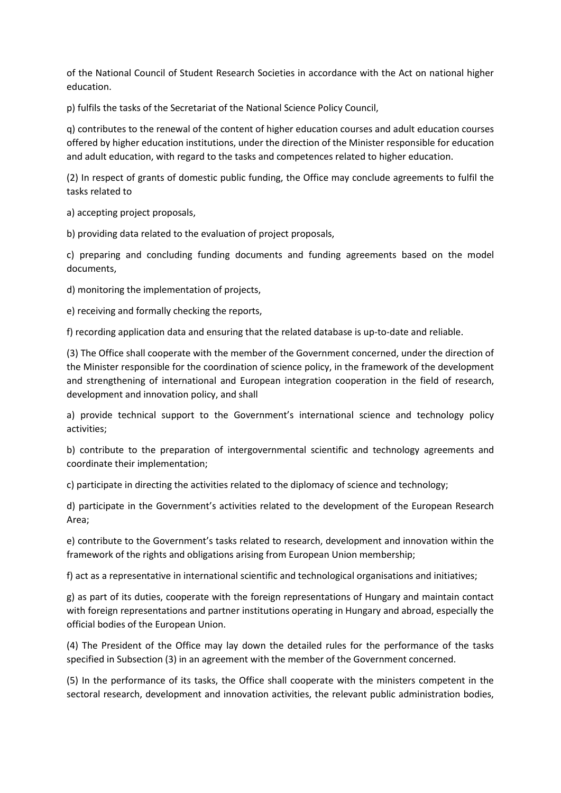of the National Council of Student Research Societies in accordance with the Act on national higher education.

p) fulfils the tasks of the Secretariat of the National Science Policy Council,

q) contributes to the renewal of the content of higher education courses and adult education courses offered by higher education institutions, under the direction of the Minister responsible for education and adult education, with regard to the tasks and competences related to higher education.

(2) In respect of grants of domestic public funding, the Office may conclude agreements to fulfil the tasks related to

a) accepting project proposals,

b) providing data related to the evaluation of project proposals,

c) preparing and concluding funding documents and funding agreements based on the model documents,

d) monitoring the implementation of projects,

e) receiving and formally checking the reports,

f) recording application data and ensuring that the related database is up-to-date and reliable.

(3) The Office shall cooperate with the member of the Government concerned, under the direction of the Minister responsible for the coordination of science policy, in the framework of the development and strengthening of international and European integration cooperation in the field of research, development and innovation policy, and shall

a) provide technical support to the Government's international science and technology policy activities;

b) contribute to the preparation of intergovernmental scientific and technology agreements and coordinate their implementation;

c) participate in directing the activities related to the diplomacy of science and technology;

d) participate in the Government's activities related to the development of the European Research Area;

e) contribute to the Government's tasks related to research, development and innovation within the framework of the rights and obligations arising from European Union membership;

f) act as a representative in international scientific and technological organisations and initiatives;

g) as part of its duties, cooperate with the foreign representations of Hungary and maintain contact with foreign representations and partner institutions operating in Hungary and abroad, especially the official bodies of the European Union.

(4) The President of the Office may lay down the detailed rules for the performance of the tasks specified in Subsection (3) in an agreement with the member of the Government concerned.

(5) In the performance of its tasks, the Office shall cooperate with the ministers competent in the sectoral research, development and innovation activities, the relevant public administration bodies,